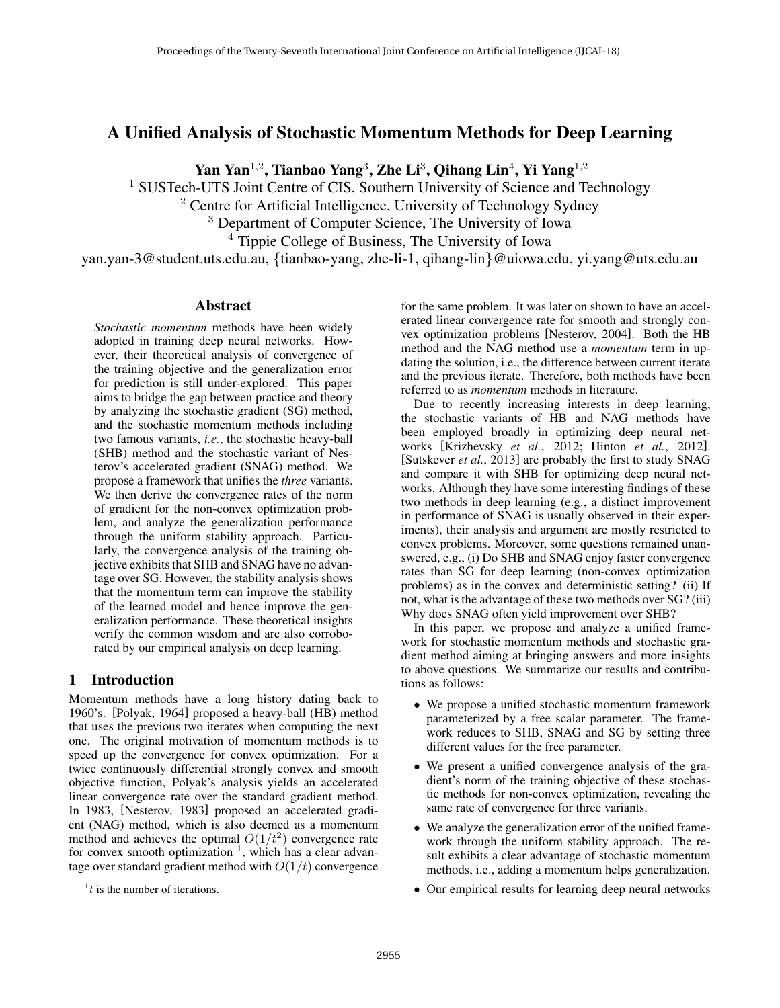# A Unified Analysis of Stochastic Momentum Methods for Deep Learning

Yan Yan $^{1,2}$ , Tianbao Yang $^3$ , Zhe Li $^3$ , Qihang Lin $^4$ , Yi Yang $^{1,2}$ 

<sup>1</sup> SUSTech-UTS Joint Centre of CIS, Southern University of Science and Technology

<sup>2</sup> Centre for Artificial Intelligence, University of Technology Sydney

<sup>3</sup> Department of Computer Science, The University of Iowa

<sup>4</sup> Tippie College of Business, The University of Iowa

yan.yan-3@student.uts.edu.au, {tianbao-yang, zhe-li-1, qihang-lin}@uiowa.edu, yi.yang@uts.edu.au

### Abstract

*Stochastic momentum* methods have been widely adopted in training deep neural networks. However, their theoretical analysis of convergence of the training objective and the generalization error for prediction is still under-explored. This paper aims to bridge the gap between practice and theory by analyzing the stochastic gradient (SG) method, and the stochastic momentum methods including two famous variants, *i.e.*, the stochastic heavy-ball (SHB) method and the stochastic variant of Nesterov's accelerated gradient (SNAG) method. We propose a framework that unifies the *three* variants. We then derive the convergence rates of the norm of gradient for the non-convex optimization problem, and analyze the generalization performance through the uniform stability approach. Particularly, the convergence analysis of the training objective exhibits that SHB and SNAG have no advantage over SG. However, the stability analysis shows that the momentum term can improve the stability of the learned model and hence improve the generalization performance. These theoretical insights verify the common wisdom and are also corroborated by our empirical analysis on deep learning.

## 1 Introduction

Momentum methods have a long history dating back to 1960's. [Polyak, 1964] proposed a heavy-ball (HB) method that uses the previous two iterates when computing the next one. The original motivation of momentum methods is to speed up the convergence for convex optimization. For a twice continuously differential strongly convex and smooth objective function, Polyak's analysis yields an accelerated linear convergence rate over the standard gradient method. In 1983, [Nesterov, 1983] proposed an accelerated gradient (NAG) method, which is also deemed as a momentum method and achieves the optimal  $O(1/t^2)$  convergence rate for convex smooth optimization  $<sup>1</sup>$ , which has a clear advan-</sup> tage over standard gradient method with  $O(1/t)$  convergence

for the same problem. It was later on shown to have an accelerated linear convergence rate for smooth and strongly convex optimization problems [Nesterov, 2004]. Both the HB method and the NAG method use a *momentum* term in updating the solution, i.e., the difference between current iterate and the previous iterate. Therefore, both methods have been referred to as *momentum* methods in literature.

Due to recently increasing interests in deep learning, the stochastic variants of HB and NAG methods have been employed broadly in optimizing deep neural networks [Krizhevsky *et al.*, 2012; Hinton *et al.*, 2012]. [Sutskever *et al.*, 2013] are probably the first to study SNAG and compare it with SHB for optimizing deep neural networks. Although they have some interesting findings of these two methods in deep learning (e.g., a distinct improvement in performance of SNAG is usually observed in their experiments), their analysis and argument are mostly restricted to convex problems. Moreover, some questions remained unanswered, e.g., (i) Do SHB and SNAG enjoy faster convergence rates than SG for deep learning (non-convex optimization problems) as in the convex and deterministic setting? (ii) If not, what is the advantage of these two methods over SG? (iii) Why does SNAG often yield improvement over SHB?

In this paper, we propose and analyze a unified framework for stochastic momentum methods and stochastic gradient method aiming at bringing answers and more insights to above questions. We summarize our results and contributions as follows:

- We propose a unified stochastic momentum framework parameterized by a free scalar parameter. The framework reduces to SHB, SNAG and SG by setting three different values for the free parameter.
- We present a unified convergence analysis of the gradient's norm of the training objective of these stochastic methods for non-convex optimization, revealing the same rate of convergence for three variants.
- We analyze the generalization error of the unified framework through the uniform stability approach. The result exhibits a clear advantage of stochastic momentum methods, i.e., adding a momentum helps generalization.
- Our empirical results for learning deep neural networks

 $<sup>1</sup>t$  is the number of iterations.</sup>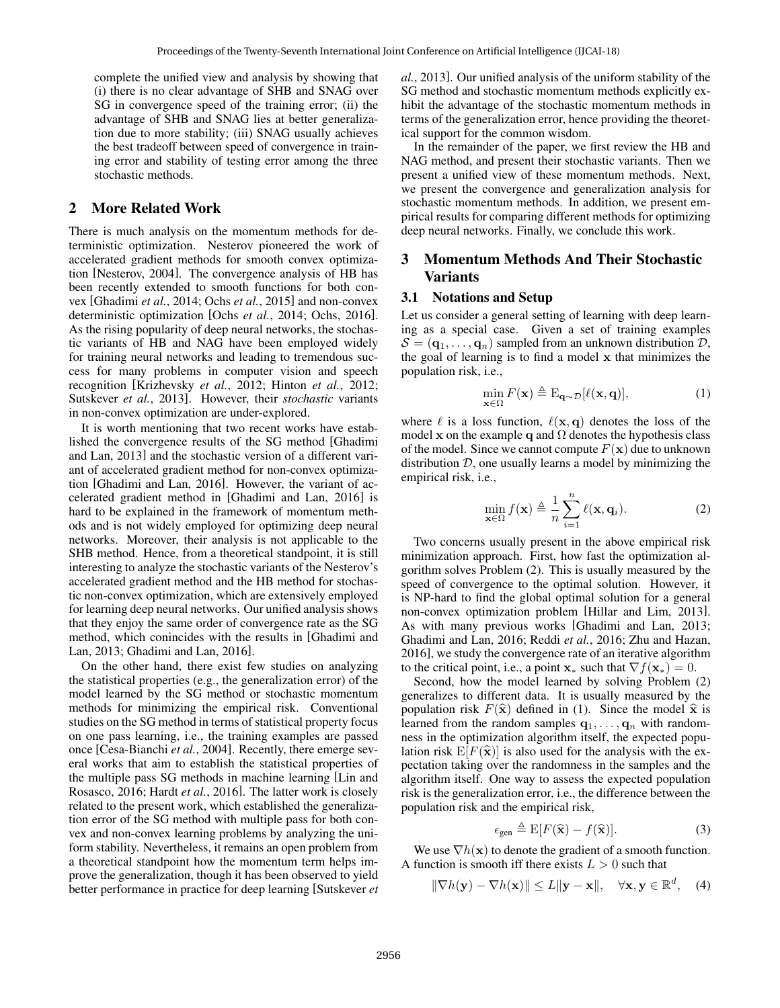complete the unified view and analysis by showing that (i) there is no clear advantage of SHB and SNAG over SG in convergence speed of the training error; (ii) the advantage of SHB and SNAG lies at better generalization due to more stability; (iii) SNAG usually achieves the best tradeoff between speed of convergence in training error and stability of testing error among the three stochastic methods.

## 2 More Related Work

There is much analysis on the momentum methods for deterministic optimization. Nesterov pioneered the work of accelerated gradient methods for smooth convex optimization [Nesterov, 2004]. The convergence analysis of HB has been recently extended to smooth functions for both convex [Ghadimi *et al.*, 2014; Ochs *et al.*, 2015] and non-convex deterministic optimization [Ochs *et al.*, 2014; Ochs, 2016]. As the rising popularity of deep neural networks, the stochastic variants of HB and NAG have been employed widely for training neural networks and leading to tremendous success for many problems in computer vision and speech recognition [Krizhevsky *et al.*, 2012; Hinton *et al.*, 2012; Sutskever *et al.*, 2013]. However, their *stochastic* variants in non-convex optimization are under-explored.

It is worth mentioning that two recent works have established the convergence results of the SG method [Ghadimi and Lan, 2013] and the stochastic version of a different variant of accelerated gradient method for non-convex optimization [Ghadimi and Lan, 2016]. However, the variant of accelerated gradient method in [Ghadimi and Lan, 2016] is hard to be explained in the framework of momentum methods and is not widely employed for optimizing deep neural networks. Moreover, their analysis is not applicable to the SHB method. Hence, from a theoretical standpoint, it is still interesting to analyze the stochastic variants of the Nesterov's accelerated gradient method and the HB method for stochastic non-convex optimization, which are extensively employed for learning deep neural networks. Our unified analysis shows that they enjoy the same order of convergence rate as the SG method, which conincides with the results in [Ghadimi and Lan, 2013; Ghadimi and Lan, 2016].

On the other hand, there exist few studies on analyzing the statistical properties (e.g., the generalization error) of the model learned by the SG method or stochastic momentum methods for minimizing the empirical risk. Conventional studies on the SG method in terms of statistical property focus on one pass learning, i.e., the training examples are passed once [Cesa-Bianchi *et al.*, 2004]. Recently, there emerge several works that aim to establish the statistical properties of the multiple pass SG methods in machine learning [Lin and Rosasco, 2016; Hardt *et al.*, 2016]. The latter work is closely related to the present work, which established the generalization error of the SG method with multiple pass for both convex and non-convex learning problems by analyzing the uniform stability. Nevertheless, it remains an open problem from a theoretical standpoint how the momentum term helps improve the generalization, though it has been observed to yield better performance in practice for deep learning [Sutskever *et* *al.*, 2013]. Our unified analysis of the uniform stability of the SG method and stochastic momentum methods explicitly exhibit the advantage of the stochastic momentum methods in terms of the generalization error, hence providing the theoretical support for the common wisdom.

In the remainder of the paper, we first review the HB and NAG method, and present their stochastic variants. Then we present a unified view of these momentum methods. Next, we present the convergence and generalization analysis for stochastic momentum methods. In addition, we present empirical results for comparing different methods for optimizing deep neural networks. Finally, we conclude this work.

# 3 Momentum Methods And Their Stochastic Variants

#### 3.1 Notations and Setup

Let us consider a general setting of learning with deep learning as a special case. Given a set of training examples  $S = (q_1, \ldots, q_n)$  sampled from an unknown distribution  $D$ , the goal of learning is to find a model x that minimizes the population risk, i.e.,

$$
\min_{\mathbf{x} \in \Omega} F(\mathbf{x}) \triangleq \mathcal{E}_{\mathbf{q} \sim \mathcal{D}}[\ell(\mathbf{x}, \mathbf{q})],\tag{1}
$$

where  $\ell$  is a loss function,  $\ell(x, q)$  denotes the loss of the model x on the example q and  $\Omega$  denotes the hypothesis class of the model. Since we cannot compute  $F(\mathbf{x})$  due to unknown distribution  $D$ , one usually learns a model by minimizing the empirical risk, i.e.,

$$
\min_{\mathbf{x} \in \Omega} f(\mathbf{x}) \triangleq \frac{1}{n} \sum_{i=1}^{n} \ell(\mathbf{x}, \mathbf{q}_i).
$$
 (2)

Two concerns usually present in the above empirical risk minimization approach. First, how fast the optimization algorithm solves Problem (2). This is usually measured by the speed of convergence to the optimal solution. However, it is NP-hard to find the global optimal solution for a general non-convex optimization problem [Hillar and Lim, 2013]. As with many previous works [Ghadimi and Lan, 2013; Ghadimi and Lan, 2016; Reddi *et al.*, 2016; Zhu and Hazan, 2016], we study the convergence rate of an iterative algorithm to the critical point, i.e., a point  $\mathbf{x}_{*}$  such that  $\nabla f(\mathbf{x}_{*}) = 0$ .

Second, how the model learned by solving Problem (2) generalizes to different data. It is usually measured by the population risk  $F(\hat{x})$  defined in (1). Since the model  $\hat{x}$  is learned from the random samples  $q_1, \ldots, q_n$  with randomness in the optimization algorithm itself, the expected population risk  $E[F(\hat{x})]$  is also used for the analysis with the expectation taking over the randomness in the samples and the algorithm itself. One way to assess the expected population risk is the generalization error, i.e., the difference between the population risk and the empirical risk,

$$
\epsilon_{\text{gen}} \triangleq \mathrm{E}[F(\hat{\mathbf{x}}) - f(\hat{\mathbf{x}})]. \tag{3}
$$

We use  $\nabla h(\mathbf{x})$  to denote the gradient of a smooth function. A function is smooth iff there exists  $L > 0$  such that

$$
\|\nabla h(\mathbf{y}) - \nabla h(\mathbf{x})\| \le L \|\mathbf{y} - \mathbf{x}\|, \quad \forall \mathbf{x}, \mathbf{y} \in \mathbb{R}^d, \quad (4)
$$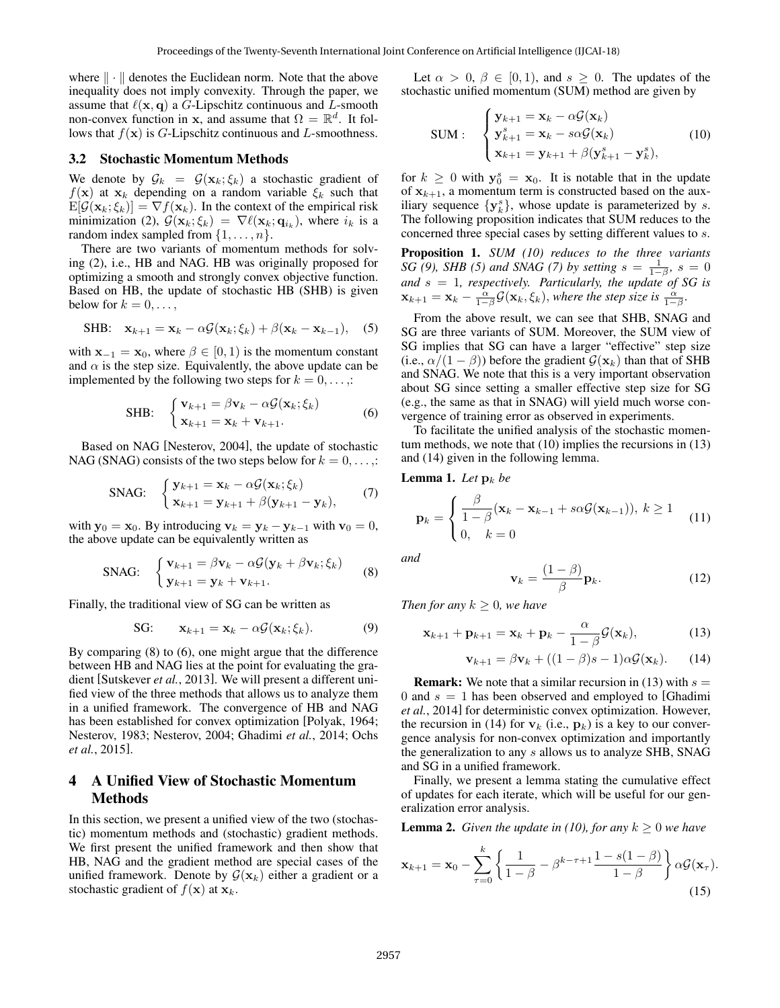where  $\|\cdot\|$  denotes the Euclidean norm. Note that the above inequality does not imply convexity. Through the paper, we assume that  $\ell(x, q)$  a G-Lipschitz continuous and L-smooth non-convex function in x, and assume that  $\Omega = \mathbb{R}^d$ . It follows that  $f(\mathbf{x})$  is G-Lipschitz continuous and L-smoothness.

#### 3.2 Stochastic Momentum Methods

We denote by  $\mathcal{G}_k = \mathcal{G}(\mathbf{x}_k; \xi_k)$  a stochastic gradient of  $f(\mathbf{x})$  at  $\mathbf{x}_k$  depending on a random variable  $\xi_k$  such that  $E[\mathcal{G}(\mathbf{x}_k;\xi_k)] = \nabla f(\mathbf{x}_k)$ . In the context of the empirical risk minimization (2),  $\mathcal{G}(\mathbf{x}_k; \xi_k) = \nabla \ell(\mathbf{x}_k; \mathbf{q}_{i_k})$ , where  $i_k$  is a random index sampled from  $\{1, \ldots, n\}$ .

There are two variants of momentum methods for solving (2), i.e., HB and NAG. HB was originally proposed for optimizing a smooth and strongly convex objective function. Based on HB, the update of stochastic HB (SHB) is given below for  $k = 0, \ldots$ ,

$$
\text{SHB:} \quad \mathbf{x}_{k+1} = \mathbf{x}_k - \alpha \mathcal{G}(\mathbf{x}_k; \xi_k) + \beta(\mathbf{x}_k - \mathbf{x}_{k-1}), \quad (5)
$$

with  $\mathbf{x}_{-1} = \mathbf{x}_0$ , where  $\beta \in [0, 1)$  is the momentum constant and  $\alpha$  is the step size. Equivalently, the above update can be implemented by the following two steps for  $k = 0, \ldots$ .

SHB: 
$$
\begin{cases} \mathbf{v}_{k+1} = \beta \mathbf{v}_k - \alpha \mathcal{G}(\mathbf{x}_k; \xi_k) \\ \mathbf{x}_{k+1} = \mathbf{x}_k + \mathbf{v}_{k+1}. \end{cases}
$$
(6)

Based on NAG [Nesterov, 2004], the update of stochastic NAG (SNAG) consists of the two steps below for  $k = 0, \ldots,$ :

$$
\text{SNAG:} \quad\n\begin{cases}\n\mathbf{y}_{k+1} = \mathbf{x}_k - \alpha \mathcal{G}(\mathbf{x}_k; \xi_k) \\
\mathbf{x}_{k+1} = \mathbf{y}_{k+1} + \beta(\mathbf{y}_{k+1} - \mathbf{y}_k),\n\end{cases}\n\tag{7}
$$

with  $y_0 = x_0$ . By introducing  $v_k = y_k - y_{k-1}$  with  $v_0 = 0$ , the above update can be equivalently written as

$$
\text{SNG:} \quad\n\begin{cases}\n\mathbf{v}_{k+1} = \beta \mathbf{v}_k - \alpha \mathcal{G}(\mathbf{y}_k + \beta \mathbf{v}_k; \xi_k) \\
\mathbf{y}_{k+1} = \mathbf{y}_k + \mathbf{v}_{k+1}.\n\end{cases}\n\tag{8}
$$

Finally, the traditional view of SG can be written as

SG: 
$$
\mathbf{x}_{k+1} = \mathbf{x}_k - \alpha \mathcal{G}(\mathbf{x}_k; \xi_k).
$$
 (9)

By comparing (8) to (6), one might argue that the difference between HB and NAG lies at the point for evaluating the gradient [Sutskever *et al.*, 2013]. We will present a different unified view of the three methods that allows us to analyze them in a unified framework. The convergence of HB and NAG has been established for convex optimization [Polyak, 1964; Nesterov, 1983; Nesterov, 2004; Ghadimi *et al.*, 2014; Ochs *et al.*, 2015].

## 4 A Unified View of Stochastic Momentum Methods

In this section, we present a unified view of the two (stochastic) momentum methods and (stochastic) gradient methods. We first present the unified framework and then show that HB, NAG and the gradient method are special cases of the unified framework. Denote by  $G(\mathbf{x}_k)$  either a gradient or a stochastic gradient of  $f(\mathbf{x})$  at  $\mathbf{x}_k$ .

Let  $\alpha > 0$ ,  $\beta \in [0, 1)$ , and  $s \geq 0$ . The updates of the stochastic unified momentum (SUM) method are given by

$$
\text{SUM}: \quad \begin{cases} \mathbf{y}_{k+1} = \mathbf{x}_k - \alpha \mathcal{G}(\mathbf{x}_k) \\ \mathbf{y}_{k+1}^s = \mathbf{x}_k - s\alpha \mathcal{G}(\mathbf{x}_k) \\ \mathbf{x}_{k+1} = \mathbf{y}_{k+1} + \beta(\mathbf{y}_{k+1}^s - \mathbf{y}_k^s), \end{cases} \tag{10}
$$

for  $k \geq 0$  with  $y_0^s = x_0$ . It is notable that in the update of  $x_{k+1}$ , a momentum term is constructed based on the auxiliary sequence  $\{y_k^s\}$ , whose update is parameterized by s. The following proposition indicates that SUM reduces to the concerned three special cases by setting different values to s.

Proposition 1. *SUM (10) reduces to the three variants SG* (9), *SHB* (5) and *SNAG* (7) by setting  $s = \frac{1}{1-\beta}$ ,  $s = 0$ *and* s = 1*, respectively. Particularly, the update of SG is*  $\mathbf{x}_{k+1} = \mathbf{x}_k - \frac{\alpha}{1-\beta} \mathcal{G}(\mathbf{x}_k, \xi_k)$ , where the step size is  $\frac{\alpha}{1-\beta}$ .

From the above result, we can see that SHB, SNAG and SG are three variants of SUM. Moreover, the SUM view of SG implies that SG can have a larger "effective" step size (i.e.,  $\alpha/(1-\beta)$ ) before the gradient  $\mathcal{G}(\mathbf{x}_k)$  than that of SHB and SNAG. We note that this is a very important observation about SG since setting a smaller effective step size for SG (e.g., the same as that in SNAG) will yield much worse convergence of training error as observed in experiments.

To facilitate the unified analysis of the stochastic momentum methods, we note that (10) implies the recursions in (13) and (14) given in the following lemma.

**Lemma 1.** Let  $\mathbf{p}_k$  be

$$
\mathbf{p}_k = \begin{cases} \frac{\beta}{1-\beta} (\mathbf{x}_k - \mathbf{x}_{k-1} + s\alpha \mathcal{G}(\mathbf{x}_{k-1})), & k \ge 1\\ 0, & k = 0 \end{cases} \tag{11}
$$

*and*

$$
\mathbf{v}_k = \frac{(1-\beta)}{\beta} \mathbf{p}_k. \tag{12}
$$

*Then for any*  $k \geq 0$ *, we have* 

$$
\mathbf{x}_{k+1} + \mathbf{p}_{k+1} = \mathbf{x}_k + \mathbf{p}_k - \frac{\alpha}{1 - \beta} \mathcal{G}(\mathbf{x}_k),
$$
 (13)

$$
\mathbf{v}_{k+1} = \beta \mathbf{v}_k + ((1 - \beta)s - 1)\alpha \mathcal{G}(\mathbf{x}_k). \qquad (14)
$$

**Remark:** We note that a similar recursion in (13) with  $s =$ 0 and  $s = 1$  has been observed and employed to [Ghadimi *et al.*, 2014] for deterministic convex optimization. However, the recursion in (14) for  $v_k$  (i.e.,  $p_k$ ) is a key to our convergence analysis for non-convex optimization and importantly the generalization to any s allows us to analyze SHB, SNAG and SG in a unified framework.

Finally, we present a lemma stating the cumulative effect of updates for each iterate, which will be useful for our generalization error analysis.

**Lemma 2.** *Given the update in (10), for any*  $k \geq 0$  *we have* 

$$
\mathbf{x}_{k+1} = \mathbf{x}_0 - \sum_{\tau=0}^k \left\{ \frac{1}{1-\beta} - \beta^{k-\tau+1} \frac{1-s(1-\beta)}{1-\beta} \right\} \alpha \mathcal{G}(\mathbf{x}_{\tau}).
$$
\n(15)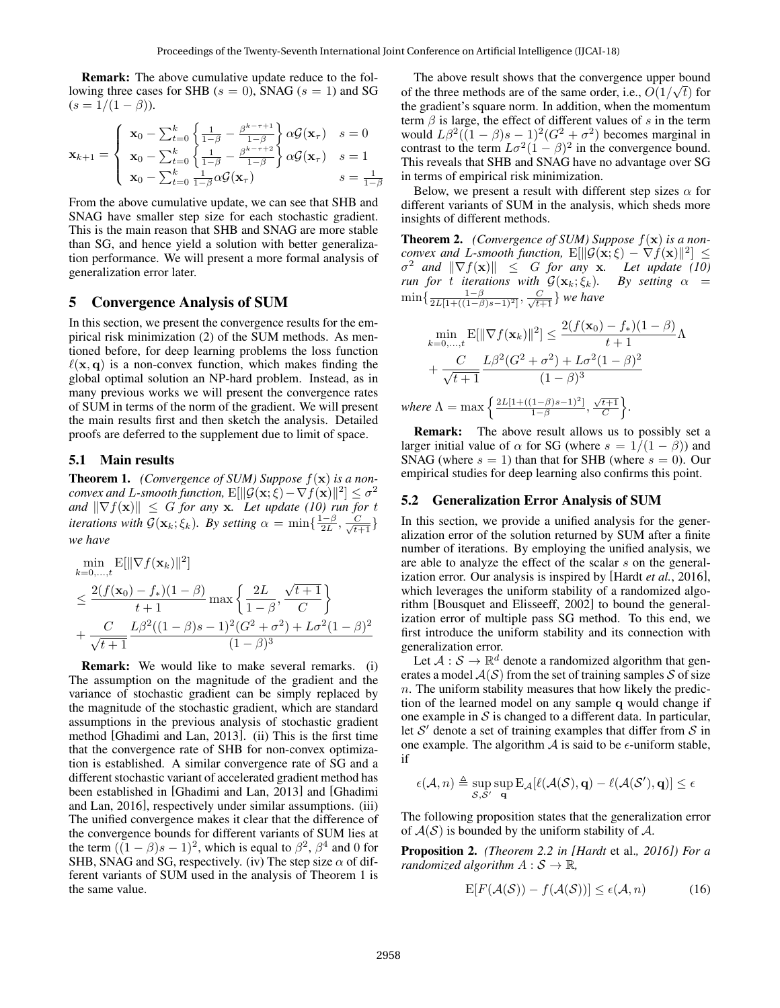Remark: The above cumulative update reduce to the following three cases for SHB ( $s = 0$ ), SNAG ( $s = 1$ ) and SG  $(s = 1/(1 - \beta)).$ 

$$
\mathbf{x}_{k+1} = \begin{cases} \n\mathbf{x}_0 - \sum_{t=0}^k \left\{ \frac{1}{1-\beta} - \frac{\beta^{k-\tau+1}}{1-\beta} \right\} \alpha \mathcal{G}(\mathbf{x}_\tau) & s = 0 \\
\mathbf{x}_0 - \sum_{t=0}^k \left\{ \frac{1}{1-\beta} - \frac{\beta^{k-\tau+2}}{1-\beta} \right\} \alpha \mathcal{G}(\mathbf{x}_\tau) & s = 1 \\
\mathbf{x}_0 - \sum_{t=0}^k \frac{1}{1-\beta} \alpha \mathcal{G}(\mathbf{x}_\tau) & s = \frac{1}{1-\beta} \n\end{cases}
$$

From the above cumulative update, we can see that SHB and SNAG have smaller step size for each stochastic gradient. This is the main reason that SHB and SNAG are more stable than SG, and hence yield a solution with better generalization performance. We will present a more formal analysis of generalization error later.

### 5 Convergence Analysis of SUM

In this section, we present the convergence results for the empirical risk minimization (2) of the SUM methods. As mentioned before, for deep learning problems the loss function  $\ell(x, q)$  is a non-convex function, which makes finding the global optimal solution an NP-hard problem. Instead, as in many previous works we will present the convergence rates of SUM in terms of the norm of the gradient. We will present the main results first and then sketch the analysis. Detailed proofs are deferred to the supplement due to limit of space.

#### 5.1 Main results

Theorem 1. *(Convergence of SUM) Suppose* f(x) *is a nonconvex and L-smooth function,*  $\mathrm{E}[\|\mathcal{G}(\mathbf{x};\widehat{\xi}) - \nabla f(\mathbf{x})\|^2] \leq \sigma^2$ *and*  $\|\nabla f(\mathbf{x})\| \leq G$  *for any* **x**. Let update (10) run for t *iterations with*  $\mathcal{G}(\mathbf{x}_k; \xi_k)$ *. By setting*  $\alpha = \min\{\frac{1-\beta}{2L}, \frac{C}{\sqrt{t+1}}\}$ *we have*

$$
\min_{k=0,\dots,t} E[||\nabla f(\mathbf{x}_k)||^2]
$$
\n
$$
\leq \frac{2(f(\mathbf{x}_0) - f_*)(1-\beta)}{t+1} \max\left\{\frac{2L}{1-\beta}, \frac{\sqrt{t+1}}{C}\right\}
$$
\n
$$
+ \frac{C}{\sqrt{t+1}} \frac{L\beta^2((1-\beta)s-1)^2(G^2+\sigma^2)+L\sigma^2(1-\beta)^2}{(1-\beta)^3}
$$

Remark: We would like to make several remarks. (i) The assumption on the magnitude of the gradient and the variance of stochastic gradient can be simply replaced by the magnitude of the stochastic gradient, which are standard assumptions in the previous analysis of stochastic gradient method [Ghadimi and Lan, 2013]. (ii) This is the first time that the convergence rate of SHB for non-convex optimization is established. A similar convergence rate of SG and a different stochastic variant of accelerated gradient method has been established in [Ghadimi and Lan, 2013] and [Ghadimi and Lan, 2016], respectively under similar assumptions. (iii) The unified convergence makes it clear that the difference of the convergence bounds for different variants of SUM lies at the term  $((1 - \beta)s - 1)^2$ , which is equal to  $\beta^2$ ,  $\beta^4$  and 0 for SHB, SNAG and SG, respectively. (iv) The step size  $\alpha$  of different variants of SUM used in the analysis of Theorem 1 is the same value.

The above result shows that the convergence upper bound of the three methods are of the same order, i.e.,  $O(1/\sqrt{t})$  for the gradient's square norm. In addition, when the momentum term  $\beta$  is large, the effect of different values of s in the term would  $L\beta^2((1-\beta)s-1)^2(G^2+\sigma^2)$  becomes marginal in contrast to the term  $L\sigma^2(1-\beta)^2$  in the convergence bound. This reveals that SHB and SNAG have no advantage over SG in terms of empirical risk minimization.

Below, we present a result with different step sizes  $\alpha$  for different variants of SUM in the analysis, which sheds more insights of different methods.

Theorem 2. *(Convergence of SUM) Suppose* f(x) *is a nonconvex and L-smooth function,*  $E[\|\mathcal{G}(\mathbf{x}; \xi) - \nabla f(\mathbf{x})\|^2] \leq$  $\sigma^2$  and  $\|\nabla f(\mathbf{x})\| \leq G$  *for any* **x**. Let update (10) *run for t iterations with*  $G(\mathbf{x}_k; \xi_k)$ . By setting  $\alpha =$  $\min\{\frac{1-\beta}{2L[1+((1-\beta)s-1)^2]}, \frac{C}{\sqrt{t+1}}\}$  we have

$$
\min_{k=0,\dots,t} \mathbf{E}[\|\nabla f(\mathbf{x}_k)\|^2] \le \frac{2(f(\mathbf{x}_0) - f_*)(1 - \beta)}{t + 1} \Lambda + \frac{C}{\sqrt{t + 1}} \frac{L\beta^2 (G^2 + \sigma^2) + L\sigma^2 (1 - \beta)^2}{(1 - \beta)^3}
$$
\nwhere  $\Lambda = \max \left\{ \frac{2L[1 + ((1 - \beta)s - 1)^2]}{1 - \beta}, \frac{\sqrt{t + 1}}{C} \right\}.$ 

Remark: The above result allows us to possibly set a larger initial value of  $\alpha$  for SG (where  $s = 1/(1 - \beta)$ ) and SNAG (where  $s = 1$ ) than that for SHB (where  $s = 0$ ). Our empirical studies for deep learning also confirms this point.

#### 5.2 Generalization Error Analysis of SUM

In this section, we provide a unified analysis for the generalization error of the solution returned by SUM after a finite number of iterations. By employing the unified analysis, we are able to analyze the effect of the scalar s on the generalization error. Our analysis is inspired by [Hardt *et al.*, 2016], which leverages the uniform stability of a randomized algorithm [Bousquet and Elisseeff, 2002] to bound the generalization error of multiple pass SG method. To this end, we first introduce the uniform stability and its connection with generalization error.

Let  $A: \mathcal{S} \to \mathbb{R}^d$  denote a randomized algorithm that generates a model  $A(S)$  from the set of training samples S of size  $n$ . The uniform stability measures that how likely the prediction of the learned model on any sample q would change if one example in  $S$  is changed to a different data. In particular, let  $S'$  denote a set of training examples that differ from  $S$  in one example. The algorithm  $\mathcal A$  is said to be  $\epsilon$ -uniform stable, if

$$
\epsilon(\mathcal{A},n) \triangleq \sup_{\mathcal{S},\mathcal{S}'}\sup_{\mathbf{q}}\mathrm{E}_{\mathcal{A}}[\ell(\mathcal{A}(\mathcal{S}),\mathbf{q})-\ell(\mathcal{A}(\mathcal{S}'),\mathbf{q})]\leq \epsilon
$$

The following proposition states that the generalization error of  $A(S)$  is bounded by the uniform stability of A.

Proposition 2. *(Theorem 2.2 in [Hardt* et al.*, 2016]) For a randomized algorithm*  $A: \mathcal{S} \to \mathbb{R}$ ,

$$
E[F(\mathcal{A}(\mathcal{S})) - f(\mathcal{A}(\mathcal{S}))] \le \epsilon(\mathcal{A}, n)
$$
 (16)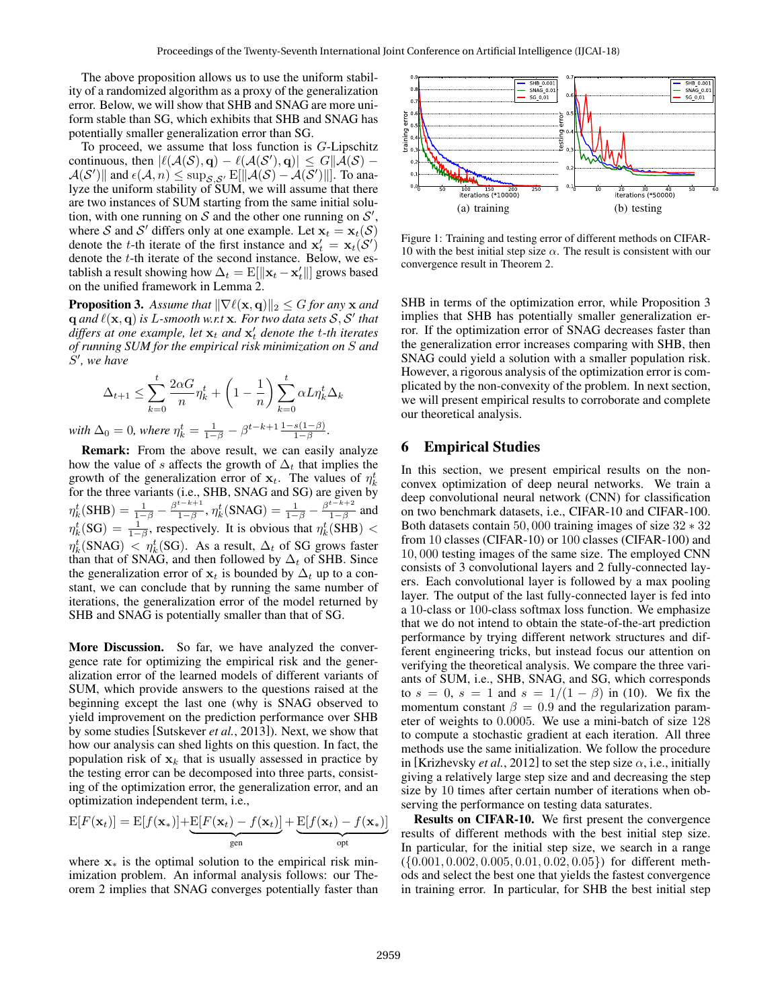The above proposition allows us to use the uniform stability of a randomized algorithm as a proxy of the generalization error. Below, we will show that SHB and SNAG are more uniform stable than SG, which exhibits that SHB and SNAG has potentially smaller generalization error than SG.

To proceed, we assume that loss function is  $G$ -Lipschitz continuous, then  $|\ell(A(\mathcal{S}), \mathbf{q}) - \ell(A(\mathcal{S}'), \mathbf{q})| \leq G ||\mathcal{\tilde{A}}(\mathcal{S}) \mathcal{A}(\mathcal{S}')$ || and  $\epsilon(\mathcal{A}, n) \leq \sup_{\mathcal{S}, \mathcal{S}'} \mathbb{E}[\|\mathcal{A}(\mathcal{S}) - \mathcal{A}(\mathcal{S}')\|]$ . To analyze the uniform stability of SUM, we will assume that there are two instances of SUM starting from the same initial solution, with one running on S and the other one running on  $S'$ , where S and S' differs only at one example. Let  $x_t = x_t(S)$ denote the *t*-th iterate of the first instance and  $\mathbf{x}'_t = \mathbf{x}_t(\mathcal{S}')$ denote the  $t$ -th iterate of the second instance. Below, we establish a result showing how  $\Delta_t = \mathrm{E}[\|\mathbf{x}_t - \mathbf{x}'_t\|]$  grows based on the unified framework in Lemma 2.

**Proposition 3.** Assume that  $\|\nabla \ell(\mathbf{x}, \mathbf{q})\|_2 \leq G$  for any  $\mathbf{x}$  and  $q$  and  $\ell(\mathbf{x}, \mathbf{q})$  is L-smooth w.r.t  $\mathbf{x}$ . For two data sets  $\mathcal{S}, \mathcal{S}'$  that  $d$ *iffers at one example, let*  $\mathbf{x}_t$  *and*  $\mathbf{x}'_t$  *denote the t-th iterates of running SUM for the empirical risk minimization on* S *and*  $\check{S}'$ , we have

$$
\Delta_{t+1} \le \sum_{k=0}^{t} \frac{2\alpha G}{n} \eta_k^t + \left(1 - \frac{1}{n}\right) \sum_{k=0}^{t} \alpha L \eta_k^t \Delta_k
$$
  
with  $\Delta_0 = 0$ , where  $\eta_k^t = \frac{1}{1-\beta} - \beta^{t-k+1} \frac{1-s(1-\beta)}{1-\beta}$ .

Remark: From the above result, we can easily analyze how the value of s affects the growth of  $\Delta_t$  that implies the growth of the generalization error of  $x_t$ . The values of  $\eta_k^t$ grown of the generalization effor of  $x_t$ . The values of  $\eta_k$  for the three variants (i.e., SHB, SNAG and SG) are given by  $\eta_k^t(\text{SHB}) = \frac{1}{1-\beta} - \frac{\beta^{t-k+1}}{1-\beta}$  $\frac{t-k+1}{1-\beta}, \eta^t_k(\text{SNAG}) = \frac{1}{1-\beta} - \frac{\beta^{t-k+2}}{1-\beta}$  $\frac{1-\beta}{1-\beta}$  and  $\eta_k^t(SG) = \frac{1}{1-\beta}$ , respectively. It is obvious that  $\eta_k^t(SHB)$  <  $\eta_k^t(\text{SNAG}) \, < \, \eta_k^t(\text{SG})$ . As a result,  $\Delta_t$  of SG grows faster than that of SNAG, and then followed by  $\Delta_t$  of SHB. Since the generalization error of  $x_t$  is bounded by  $\Delta_t$  up to a constant, we can conclude that by running the same number of iterations, the generalization error of the model returned by SHB and SNAG is potentially smaller than that of SG.

More Discussion. So far, we have analyzed the convergence rate for optimizing the empirical risk and the generalization error of the learned models of different variants of SUM, which provide answers to the questions raised at the beginning except the last one (why is SNAG observed to yield improvement on the prediction performance over SHB by some studies [Sutskever *et al.*, 2013]). Next, we show that how our analysis can shed lights on this question. In fact, the population risk of  $x_k$  that is usually assessed in practice by the testing error can be decomposed into three parts, consisting of the optimization error, the generalization error, and an optimization independent term, i.e.,

$$
E[F(\mathbf{x}_t)] = E[f(\mathbf{x}_*)] + \underbrace{E[F(\mathbf{x}_t) - f(\mathbf{x}_t)]}_{\text{gen}} + \underbrace{E[f(\mathbf{x}_t) - f(\mathbf{x}_*)]}_{\text{opt}}
$$

where  $x<sub>*</sub>$  is the optimal solution to the empirical risk minimization problem. An informal analysis follows: our Theorem 2 implies that SNAG converges potentially faster than



Figure 1: Training and testing error of different methods on CIFAR-10 with the best initial step size  $\alpha$ . The result is consistent with our convergence result in Theorem 2.

SHB in terms of the optimization error, while Proposition 3 implies that SHB has potentially smaller generalization error. If the optimization error of SNAG decreases faster than the generalization error increases comparing with SHB, then SNAG could yield a solution with a smaller population risk. However, a rigorous analysis of the optimization error is complicated by the non-convexity of the problem. In next section, we will present empirical results to corroborate and complete our theoretical analysis.

# 6 Empirical Studies

In this section, we present empirical results on the nonconvex optimization of deep neural networks. We train a deep convolutional neural network (CNN) for classification on two benchmark datasets, i.e., CIFAR-10 and CIFAR-100. Both datasets contain 50, 000 training images of size 32 ∗ 32 from 10 classes (CIFAR-10) or 100 classes (CIFAR-100) and 10, 000 testing images of the same size. The employed CNN consists of 3 convolutional layers and 2 fully-connected layers. Each convolutional layer is followed by a max pooling layer. The output of the last fully-connected layer is fed into a 10-class or 100-class softmax loss function. We emphasize that we do not intend to obtain the state-of-the-art prediction performance by trying different network structures and different engineering tricks, but instead focus our attention on verifying the theoretical analysis. We compare the three variants of SUM, i.e., SHB, SNAG, and SG, which corresponds to  $s = 0$ ,  $s = 1$  and  $s = 1/(1 - \beta)$  in (10). We fix the momentum constant  $\beta = 0.9$  and the regularization parameter of weights to 0.0005. We use a mini-batch of size 128 to compute a stochastic gradient at each iteration. All three methods use the same initialization. We follow the procedure in [Krizhevsky *et al.*, 2012] to set the step size  $\alpha$ , i.e., initially giving a relatively large step size and and decreasing the step size by 10 times after certain number of iterations when observing the performance on testing data saturates.

Results on CIFAR-10. We first present the convergence results of different methods with the best initial step size. In particular, for the initial step size, we search in a range ({0.001, 0.002, 0.005, 0.01, 0.02, 0.05}) for different methods and select the best one that yields the fastest convergence in training error. In particular, for SHB the best initial step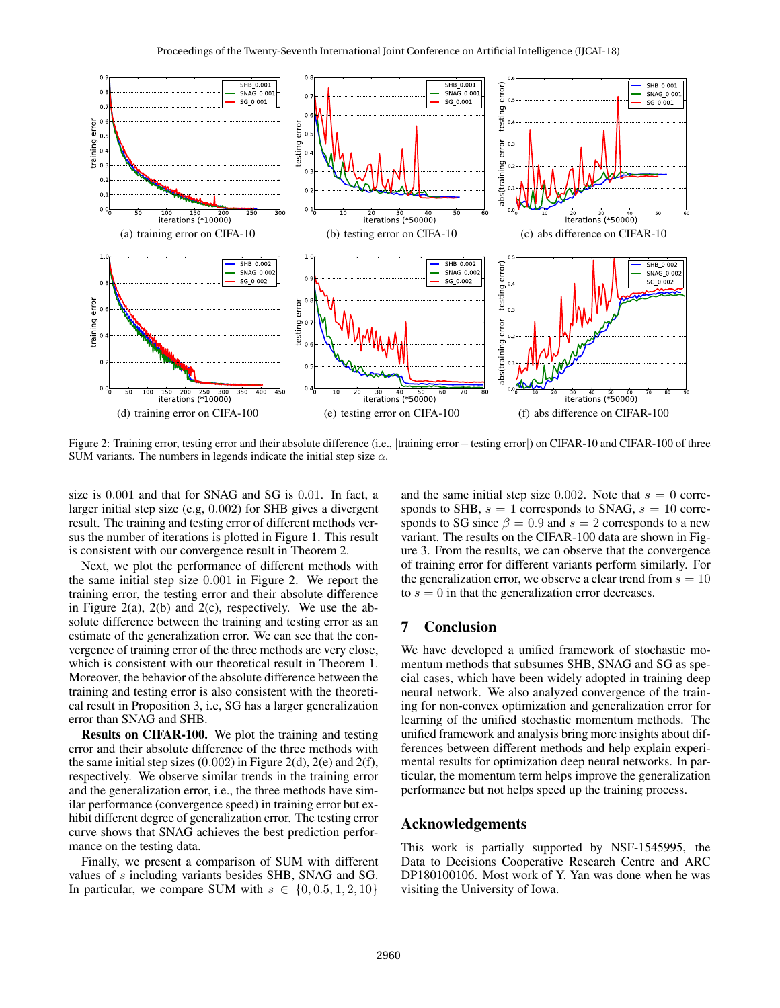

Figure 2: Training error, testing error and their absolute difference (i.e., |training error−testing error|) on CIFAR-10 and CIFAR-100 of three SUM variants. The numbers in legends indicate the initial step size  $\alpha$ .

size is 0.001 and that for SNAG and SG is 0.01. In fact, a larger initial step size (e.g, 0.002) for SHB gives a divergent result. The training and testing error of different methods versus the number of iterations is plotted in Figure 1. This result is consistent with our convergence result in Theorem 2.

Next, we plot the performance of different methods with the same initial step size 0.001 in Figure 2. We report the training error, the testing error and their absolute difference in Figure 2(a), 2(b) and 2(c), respectively. We use the absolute difference between the training and testing error as an estimate of the generalization error. We can see that the convergence of training error of the three methods are very close, which is consistent with our theoretical result in Theorem 1. Moreover, the behavior of the absolute difference between the training and testing error is also consistent with the theoretical result in Proposition 3, i.e, SG has a larger generalization error than SNAG and SHB.

Results on CIFAR-100. We plot the training and testing error and their absolute difference of the three methods with the same initial step sizes  $(0.002)$  in Figure 2(d), 2(e) and 2(f), respectively. We observe similar trends in the training error and the generalization error, i.e., the three methods have similar performance (convergence speed) in training error but exhibit different degree of generalization error. The testing error curve shows that SNAG achieves the best prediction performance on the testing data.

Finally, we present a comparison of SUM with different values of s including variants besides SHB, SNAG and SG. In particular, we compare SUM with  $s \in \{0, 0.5, 1, 2, 10\}$  and the same initial step size 0.002. Note that  $s = 0$  corresponds to SHB,  $s = 1$  corresponds to SNAG,  $s = 10$  corresponds to SG since  $\beta = 0.9$  and  $s = 2$  corresponds to a new variant. The results on the CIFAR-100 data are shown in Figure 3. From the results, we can observe that the convergence of training error for different variants perform similarly. For the generalization error, we observe a clear trend from  $s = 10$ to  $s = 0$  in that the generalization error decreases.

## 7 Conclusion

We have developed a unified framework of stochastic momentum methods that subsumes SHB, SNAG and SG as special cases, which have been widely adopted in training deep neural network. We also analyzed convergence of the training for non-convex optimization and generalization error for learning of the unified stochastic momentum methods. The unified framework and analysis bring more insights about differences between different methods and help explain experimental results for optimization deep neural networks. In particular, the momentum term helps improve the generalization performance but not helps speed up the training process.

### Acknowledgements

This work is partially supported by NSF-1545995, the Data to Decisions Cooperative Research Centre and ARC DP180100106. Most work of Y. Yan was done when he was visiting the University of Iowa.